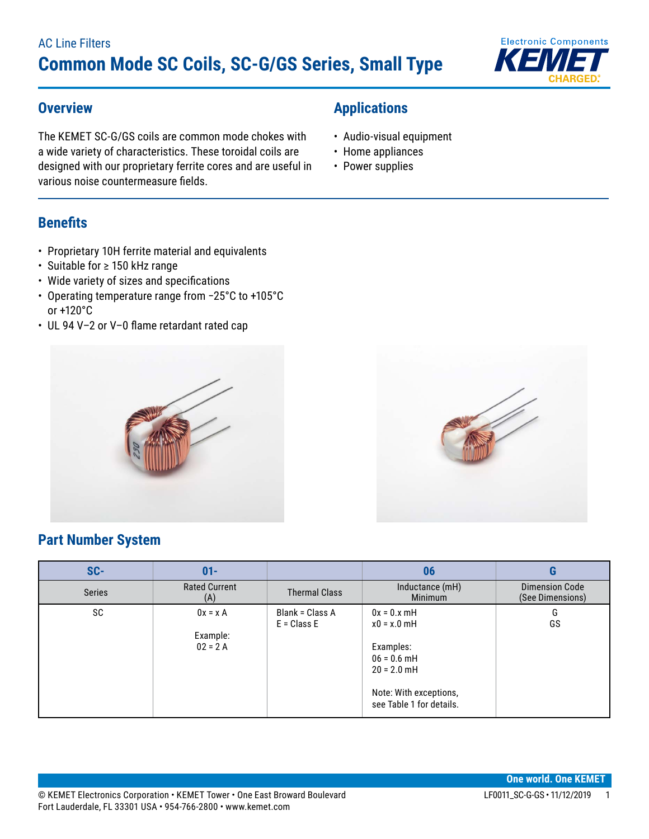**Applications**

• Audio-visual equipment • Home appliances • Power supplies



#### **Overview**

The KEMET SC-G/GS coils are common mode chokes with a wide variety of characteristics. These toroidal coils are designed with our proprietary ferrite cores and are useful in various noise countermeasure fields.

## **Benefits**

- Proprietary 10H ferrite material and equivalents
- • Suitable for ≥ 150 kHz range
- Wide variety of sizes and specifications
- • Operating temperature range from −25°C to +105°C or +120°C
- • UL 94 V–2 or V–0 flame retardant rated cap





## **Part Number System**

| SC-    | $01 -$                              |                                  | 06                                                                                                                                  | G                                         |
|--------|-------------------------------------|----------------------------------|-------------------------------------------------------------------------------------------------------------------------------------|-------------------------------------------|
| Series | <b>Rated Current</b><br>(A)         | <b>Thermal Class</b>             | Inductance (mH)<br><b>Minimum</b>                                                                                                   | <b>Dimension Code</b><br>(See Dimensions) |
| SC     | $0x = xA$<br>Example:<br>$02 = 2 A$ | Blank = Class A<br>$E = Class E$ | $0x = 0.x$ mH<br>$x0 = x.0$ mH<br>Examples:<br>$06 = 0.6$ mH<br>$20 = 2.0$ mH<br>Note: With exceptions,<br>see Table 1 for details. | G<br>GS                                   |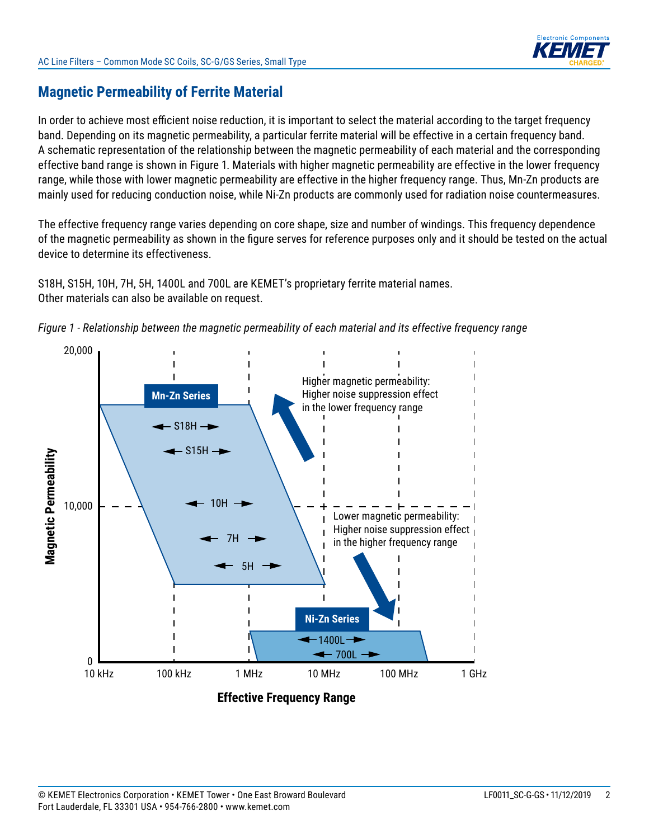

## **Magnetic Permeability of Ferrite Material**

In order to achieve most efficient noise reduction, it is important to select the material according to the target frequency band. Depending on its magnetic permeability, a particular ferrite material will be effective in a certain frequency band. A schematic representation of the relationship between the magnetic permeability of each material and the corresponding effective band range is shown in Figure 1. Materials with higher magnetic permeability are effective in the lower frequency range, while those with lower magnetic permeability are effective in the higher frequency range. Thus, Mn-Zn products are mainly used for reducing conduction noise, while Ni-Zn products are commonly used for radiation noise countermeasures.

The effective frequency range varies depending on core shape, size and number of windings. This frequency dependence of the magnetic permeability as shown in the figure serves for reference purposes only and it should be tested on the actual device to determine its effectiveness.

S18H, S15H, 10H, 7H, 5H, 1400L and 700L are KEMET's proprietary ferrite material names. Other materials can also be available on request.



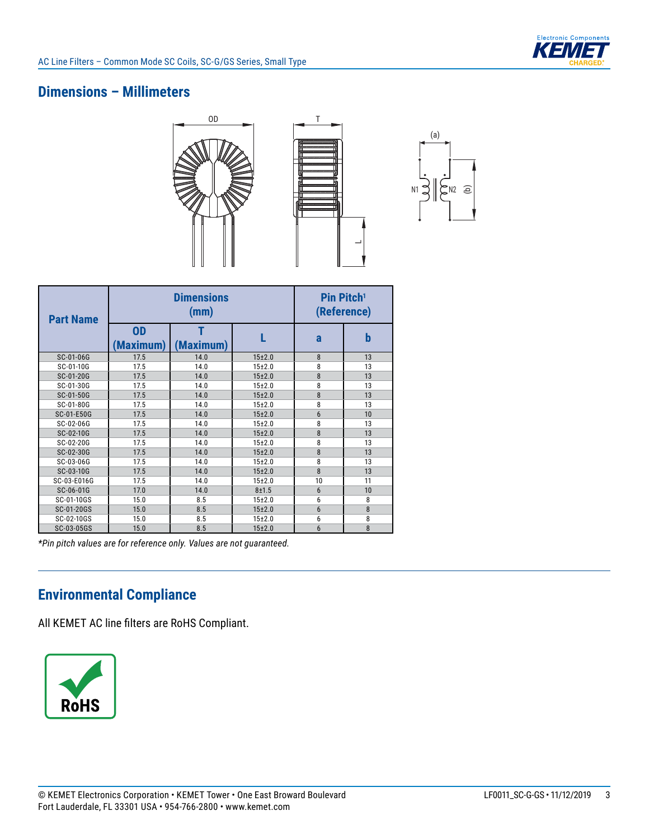

## **Dimensions – Millimeters**







| <b>Part Name</b> |                        | <b>Dimensions</b><br>(mm) |            | Pin Pitch <sup>1</sup><br>(Reference) |    |  |
|------------------|------------------------|---------------------------|------------|---------------------------------------|----|--|
|                  | <b>OD</b><br>(Maximum) | (Maximum)                 |            | a                                     | b  |  |
| SC-01-06G        | 17.5                   | 14.0                      | $15+2.0$   | 8                                     | 13 |  |
| SC-01-10G        | 17.5                   | 14.0                      | $15 + 2.0$ | 8                                     | 13 |  |
| SC-01-20G        | 17.5                   | 14.0                      | $15+2.0$   | 8                                     | 13 |  |
| SC-01-30G        | 17.5                   | 14.0                      | $15+2.0$   | 8                                     | 13 |  |
| SC-01-50G        | 17.5                   | 14.0                      | $15+2.0$   | 8                                     | 13 |  |
| SC-01-80G        | 17.5                   | 14.0                      | $15+2.0$   | 8                                     | 13 |  |
| SC-01-E50G       | 17.5                   | 14.0                      | $15+2.0$   | 6                                     | 10 |  |
| SC-02-06G        | 17.5                   | 14.0                      | $15 + 2.0$ | 8                                     | 13 |  |
| SC-02-10G        | 17.5                   | 14.0                      | $15+2.0$   | 8                                     | 13 |  |
| SC-02-20G        | 17.5                   | 14.0                      | $15 + 2.0$ | 8                                     | 13 |  |
| SC-02-30G        | 17.5                   | 14.0                      | $15+2.0$   | 8                                     | 13 |  |
| SC-03-06G        | 17.5                   | 14.0                      | $15 + 2.0$ | 8                                     | 13 |  |
| SC-03-10G        | 17.5                   | 14.0                      | $15+2.0$   | 8                                     | 13 |  |
| SC-03-E016G      | 17.5                   | 14.0                      | $15 + 2.0$ | 10                                    | 11 |  |
| SC-06-01G        | 17.0                   | 14.0                      | $8 + 1.5$  | 6                                     | 10 |  |
| SC-01-10GS       | 15.0                   | 8.5                       | $15+2.0$   | 6                                     | 8  |  |
| SC-01-20GS       | 15.0                   | 8.5                       | $15+2.0$   | $6\phantom{1}$                        | 8  |  |
| SC-02-10GS       | 15.0                   | 8.5                       | $15+2.0$   | 6                                     | 8  |  |
| SC-03-05GS       | 15.0                   | 8.5                       | $15+2.0$   | $6\phantom{1}$                        | 8  |  |

*\*Pin pitch values are for reference only. Values are not guaranteed.*

# **Environmental Compliance**

All KEMET AC line filters are RoHS Compliant.

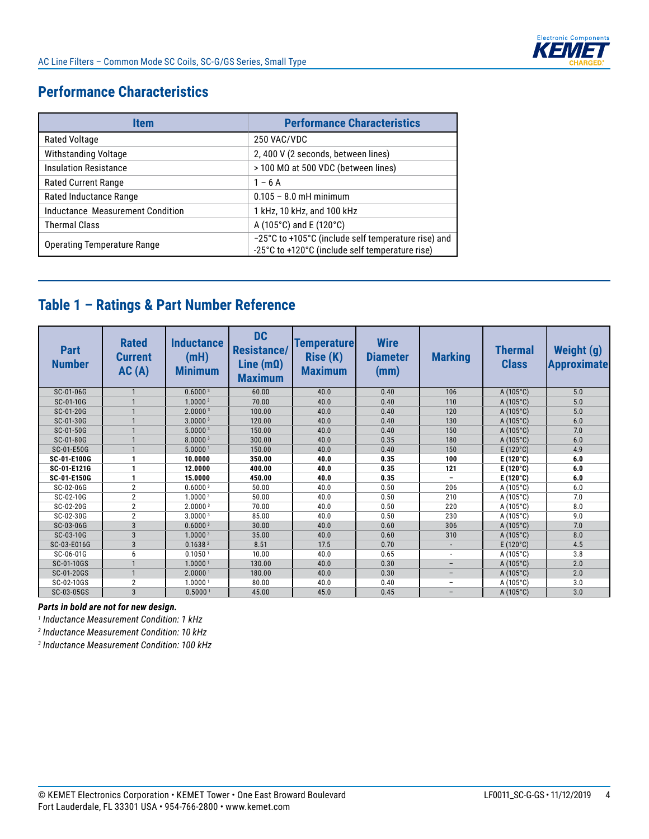## **Performance Characteristics**

| Item                               | <b>Performance Characteristics</b>                                                                     |
|------------------------------------|--------------------------------------------------------------------------------------------------------|
| <b>Rated Voltage</b>               | 250 VAC/VDC                                                                                            |
| <b>Withstanding Voltage</b>        | 2, 400 V (2 seconds, between lines)                                                                    |
| <b>Insulation Resistance</b>       | $>$ 100 MΩ at 500 VDC (between lines)                                                                  |
| <b>Rated Current Range</b>         | $1 - 6A$                                                                                               |
| Rated Inductance Range             | $0.105 - 8.0$ mH minimum                                                                               |
| Inductance Measurement Condition   | 1 kHz, 10 kHz, and 100 kHz                                                                             |
| <b>Thermal Class</b>               | A (105°C) and E (120°C)                                                                                |
| <b>Operating Temperature Range</b> | -25°C to +105°C (include self temperature rise) and<br>-25°C to +120°C (include self temperature rise) |

# **Table 1 – Ratings & Part Number Reference**

| <b>Part</b><br><b>Number</b> | <b>Rated</b><br><b>Current</b><br>AC(A) | <b>Inductance</b><br>(mH)<br><b>Minimum</b> | <b>DC</b><br><b>Resistance/</b><br>Line (m $\Omega$ )<br><b>Maximum</b> | <b>Temperature</b><br>Rise (K)<br><b>Maximum</b> | <b>Wire</b><br><b>Diameter</b><br>(mm) | <b>Marking</b>           | <b>Thermal</b><br><b>Class</b> | Weight (g)<br><b>Approximate</b> |
|------------------------------|-----------------------------------------|---------------------------------------------|-------------------------------------------------------------------------|--------------------------------------------------|----------------------------------------|--------------------------|--------------------------------|----------------------------------|
| SC-01-06G                    |                                         | 0.60003                                     | 60.00                                                                   | 40.0                                             | 0.40                                   | 106                      | $A(105^{\circ}C)$              | 5.0                              |
| SC-01-10G                    | $\mathbf{1}$                            | 1.0000 <sup>3</sup>                         | 70.00                                                                   | 40.0                                             | 0.40                                   | 110                      | $A(105^{\circ}C)$              | 5.0                              |
| SC-01-20G                    | $\mathbf{1}$                            | 2.0000 <sup>3</sup>                         | 100.00                                                                  | 40.0                                             | 0.40                                   | 120                      | $A(105^{\circ}C)$              | 5.0                              |
| SC-01-30G                    | $\mathbf{1}$                            | 3.0000 <sup>3</sup>                         | 120.00                                                                  | 40.0                                             | 0.40                                   | 130                      | $A(105^{\circ}C)$              | 6.0                              |
| SC-01-50G                    | $\mathbf{1}$                            | 5.00003                                     | 150.00                                                                  | 40.0                                             | 0.40                                   | 150                      | $A(105^{\circ}C)$              | 7.0                              |
| SC-01-80G                    | $\mathbf{1}$                            | 8.0000 <sup>3</sup>                         | 300.00                                                                  | 40.0                                             | 0.35                                   | 180                      | $A(105^{\circ}C)$              | 6.0                              |
| SC-01-E50G                   | $\mathbf{1}$                            | 5.00001                                     | 150.00                                                                  | 40.0                                             | 0.40                                   | 150                      | $E(120^{\circ}C)$              | 4.9                              |
| SC-01-E100G                  | $\mathbf{1}$                            | 10.0000                                     | 350.00                                                                  | 40.0                                             | 0.35                                   | 100                      | $E(120^{\circ}C)$              | 6.0                              |
| SC-01-E121G                  | $\mathbf{1}$                            | 12.0000                                     | 400.00                                                                  | 40.0                                             | 0.35                                   | 121                      | $E(120^{\circ}C)$              | 6.0                              |
| SC-01-E150G                  | $\mathbf{1}$                            | 15.0000                                     | 450.00                                                                  | 40.0                                             | 0.35                                   | -                        | E (120 $^{\circ}$ C)           | 6.0                              |
| SC-02-06G                    | $\overline{2}$                          | 0.6000 <sup>3</sup>                         | 50.00                                                                   | 40.0                                             | 0.50                                   | 206                      | $A(105^{\circ}C)$              | 6.0                              |
| SC-02-10G                    | $\overline{2}$                          | 1.0000 <sup>3</sup>                         | 50.00                                                                   | 40.0                                             | 0.50                                   | 210                      | $A(105^{\circ}C)$              | 7.0                              |
| SC-02-20G                    | $\overline{2}$                          | 2.0000 <sup>3</sup>                         | 70.00                                                                   | 40.0                                             | 0.50                                   | 220                      | $A(105^{\circ}C)$              | 8.0                              |
| SC-02-30G                    | $\overline{2}$                          | 3.0000 <sup>3</sup>                         | 85.00                                                                   | 40.0                                             | 0.50                                   | 230                      | $A(105^{\circ}C)$              | 9.0                              |
| SC-03-06G                    | $\overline{3}$                          | 0.6000 <sup>3</sup>                         | 30.00                                                                   | 40.0                                             | 0.60                                   | 306                      | $A(105^{\circ}C)$              | 7.0                              |
| SC-03-10G                    | 3                                       | 1.00003                                     | 35.00                                                                   | 40.0                                             | 0.60                                   | 310                      | $A(105^{\circ}C)$              | 8.0                              |
| SC-03-E016G                  | 3                                       | 0.1638 <sup>2</sup>                         | 8.51                                                                    | 17.5                                             | 0.70                                   |                          | $E(120^{\circ}C)$              | 4.5                              |
| SC-06-01G                    | 6                                       | 0.1050 <sup>1</sup>                         | 10.00                                                                   | 40.0                                             | 0.65                                   | $\overline{\phantom{a}}$ | $A(105^{\circ}C)$              | 3.8                              |
| SC-01-10GS                   | $\mathbf{1}$                            | 1.00001                                     | 130.00                                                                  | 40.0                                             | 0.30                                   |                          | $A(105^{\circ}C)$              | 2.0                              |
| SC-01-20GS                   | $\mathbf{1}$                            | 2.0000 <sup>1</sup>                         | 180.00                                                                  | 40.0                                             | 0.30                                   | -                        | $A(105^{\circ}C)$              | 2.0                              |
| SC-02-10GS                   | $\overline{2}$                          | 1.0000 <sup>1</sup>                         | 80.00                                                                   | 40.0                                             | 0.40                                   | $\qquad \qquad -$        | $A(105^{\circ}C)$              | 3.0                              |
| SC-03-05GS                   | $\overline{3}$                          | 0.5000 <sup>1</sup>                         | 45.00                                                                   | 45.0                                             | 0.45                                   | $\overline{\phantom{0}}$ | $A(105^{\circ}C)$              | 3.0                              |

#### *Parts in bold are not for new design.*

*1 Inductance Measurement Condition: 1 kHz*

*2 Inductance Measurement Condition: 10 kHz*

*3 Inductance Measurement Condition: 100 kHz*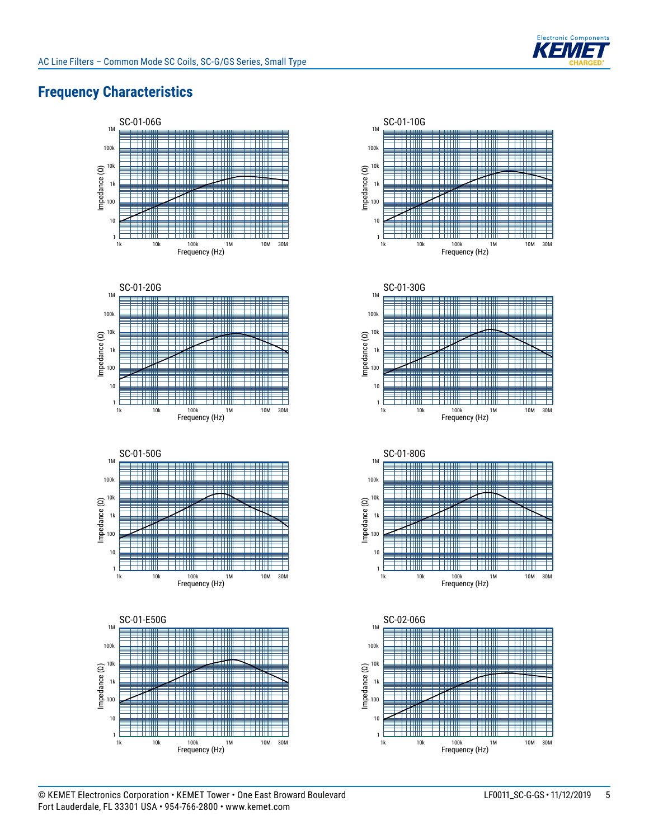

## **Frequency Characteristics**















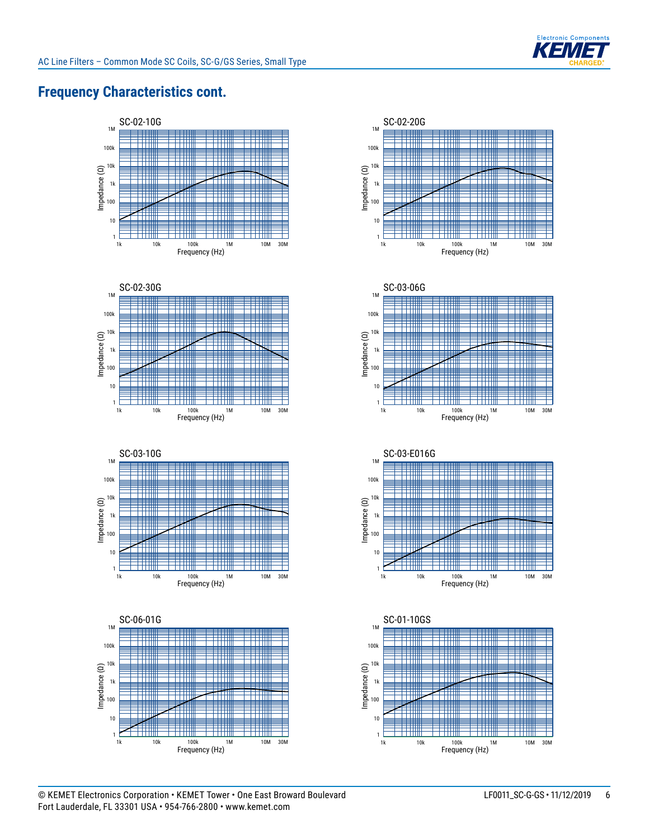

## **Frequency Characteristics cont.**















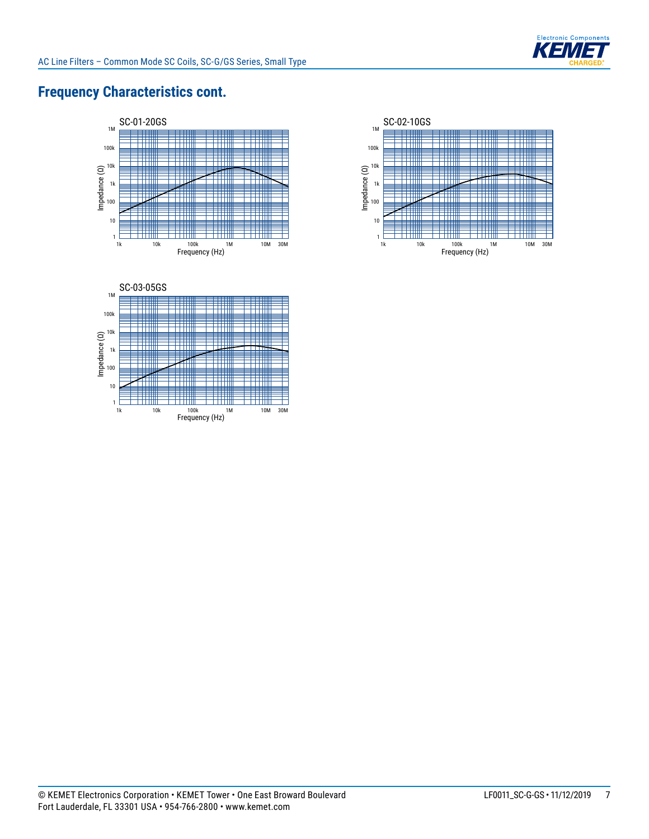

## **Frequency Characteristics cont.**





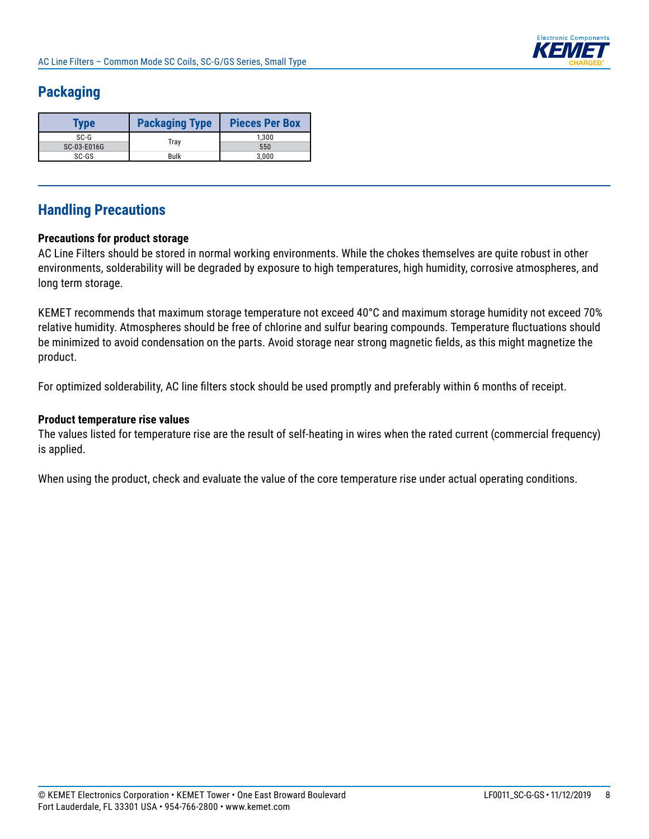

## **Packaging**

| Type        | <b>Packaging Type</b> | <b>Pieces Per Box</b> |
|-------------|-----------------------|-----------------------|
| $SC-G$      |                       | 1.300                 |
| SC-03-E016G | Tray                  | 550                   |
| SC-GS       | <b>Bulk</b>           | 3.000                 |

## **Handling Precautions**

#### **Precautions for product storage**

AC Line Filters should be stored in normal working environments. While the chokes themselves are quite robust in other environments, solderability will be degraded by exposure to high temperatures, high humidity, corrosive atmospheres, and long term storage.

KEMET recommends that maximum storage temperature not exceed 40°C and maximum storage humidity not exceed 70% relative humidity. Atmospheres should be free of chlorine and sulfur bearing compounds. Temperature fluctuations should be minimized to avoid condensation on the parts. Avoid storage near strong magnetic fields, as this might magnetize the product.

For optimized solderability, AC line filters stock should be used promptly and preferably within 6 months of receipt.

#### **Product temperature rise values**

The values listed for temperature rise are the result of self-heating in wires when the rated current (commercial frequency) is applied.

When using the product, check and evaluate the value of the core temperature rise under actual operating conditions.